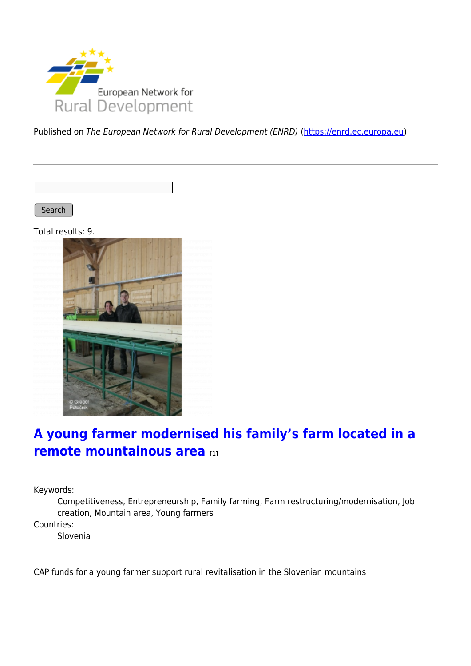

Published on The European Network for Rural Development (ENRD) [\(https://enrd.ec.europa.eu](https://enrd.ec.europa.eu))

Search

Total results: 9.



# **[A young farmer modernised his family's farm located in a](https://enrd.ec.europa.eu/projects-practice/young-farmer-modernised-his-familys-farm-located-remote-mountainous-area_en) [remote mountainous area](https://enrd.ec.europa.eu/projects-practice/young-farmer-modernised-his-familys-farm-located-remote-mountainous-area_en) [1]**

Keywords:

Competitiveness, Entrepreneurship, Family farming, Farm restructuring/modernisation, Job creation, Mountain area, Young farmers

Countries:

Slovenia

CAP funds for a young farmer support rural revitalisation in the Slovenian mountains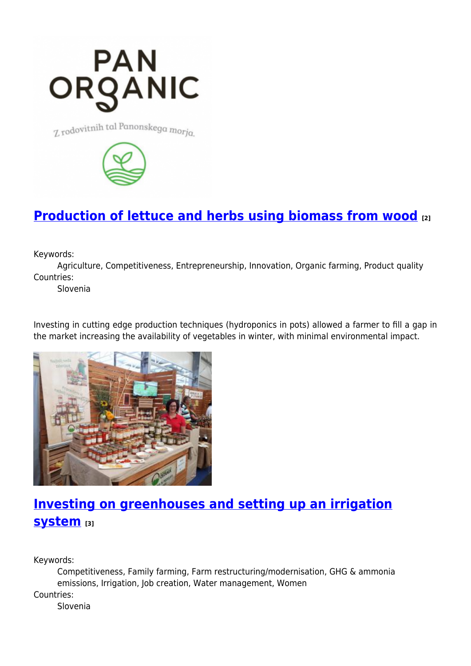

Z rodovitnih tal Panonskega morja.



## **[Production of lettuce and herbs using biomass from wood](https://enrd.ec.europa.eu/projects-practice/production-lettuce-and-herbs-using-biomass-wood_en) [2]**

Keywords:

Agriculture, Competitiveness, Entrepreneurship, Innovation, Organic farming, Product quality Countries:

Slovenia

Investing in cutting edge production techniques (hydroponics in pots) allowed a farmer to fill a gap in the market increasing the availability of vegetables in winter, with minimal environmental impact.



# **[Investing on greenhouses and setting up an irrigation](https://enrd.ec.europa.eu/projects-practice/investing-greenhouses-and-setting-irrigation-system_en) [system](https://enrd.ec.europa.eu/projects-practice/investing-greenhouses-and-setting-irrigation-system_en) [3]**

Keywords:

Competitiveness, Family farming, Farm restructuring/modernisation, GHG & ammonia emissions, Irrigation, Job creation, Water management, Women

Countries:

Slovenia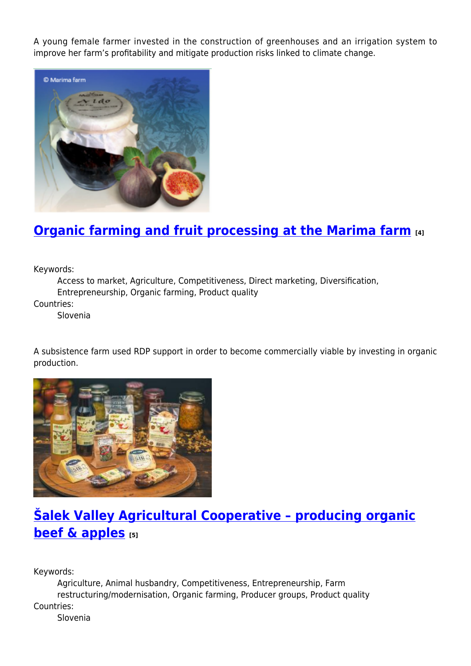A young female farmer invested in the construction of greenhouses and an irrigation system to improve her farm's profitability and mitigate production risks linked to climate change.



## **[Organic farming and fruit processing at the Marima farm](https://enrd.ec.europa.eu/projects-practice/organic-farming-and-fruit-processing-marima-farm_en) [4]**

Keywords:

Access to market, Agriculture, Competitiveness, Direct marketing, Diversification, Entrepreneurship, Organic farming, Product quality

Countries:

Slovenia

A subsistence farm used RDP support in order to become commercially viable by investing in organic production.



# **[Šalek Valley Agricultural Cooperative – producing organic](https://enrd.ec.europa.eu/projects-practice/salek-valley-agricultural-cooperative-producing-organic-beef-apples_en) [beef & apples](https://enrd.ec.europa.eu/projects-practice/salek-valley-agricultural-cooperative-producing-organic-beef-apples_en)** [5]

Keywords:

Agriculture, Animal husbandry, Competitiveness, Entrepreneurship, Farm restructuring/modernisation, Organic farming, Producer groups, Product quality Countries: Slovenia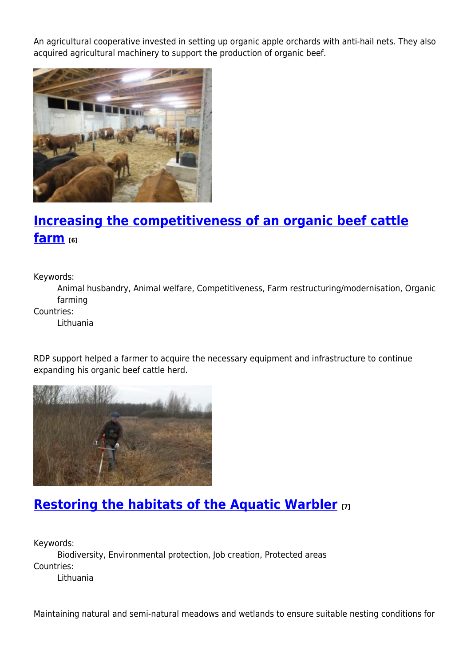An agricultural cooperative invested in setting up organic apple orchards with anti-hail nets. They also acquired agricultural machinery to support the production of organic beef.



# **[Increasing the competitiveness of an organic beef cattle](https://enrd.ec.europa.eu/projects-practice/increasing-competitiveness-organic-beef-cattle-farm_en) [farm](https://enrd.ec.europa.eu/projects-practice/increasing-competitiveness-organic-beef-cattle-farm_en) [6]**

Keywords:

Animal husbandry, Animal welfare, Competitiveness, Farm restructuring/modernisation, Organic farming

Countries:

Lithuania

RDP support helped a farmer to acquire the necessary equipment and infrastructure to continue expanding his organic beef cattle herd.



## **[Restoring the habitats of the Aquatic Warbler](https://enrd.ec.europa.eu/projects-practice/restoring-habitats-aquatic-warbler_en) [7]**

Keywords: Biodiversity, Environmental protection, Job creation, Protected areas Countries: Lithuania

Maintaining natural and semi-natural meadows and wetlands to ensure suitable nesting conditions for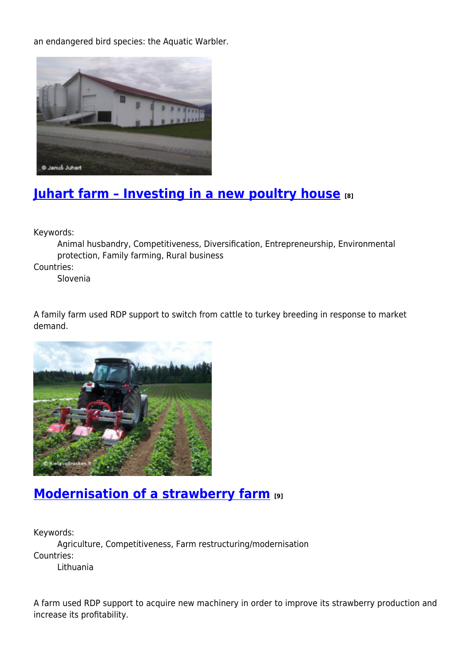an endangered bird species: the Aquatic Warbler.



## **[Juhart farm – Investing in a new poultry house](https://enrd.ec.europa.eu/projects-practice/juhart-farm-investing-new-poultry-house_en) [8]**

Keywords:

Animal husbandry, Competitiveness, Diversification, Entrepreneurship, Environmental protection, Family farming, Rural business

Countries:

Slovenia

A family farm used RDP support to switch from cattle to turkey breeding in response to market demand.



#### **[Modernisation of a strawberry farm](https://enrd.ec.europa.eu/projects-practice/modernisation-strawberry-farm_en) [9]**

Keywords:

Agriculture, Competitiveness, Farm restructuring/modernisation Countries:

Lithuania

A farm used RDP support to acquire new machinery in order to improve its strawberry production and increase its profitability.